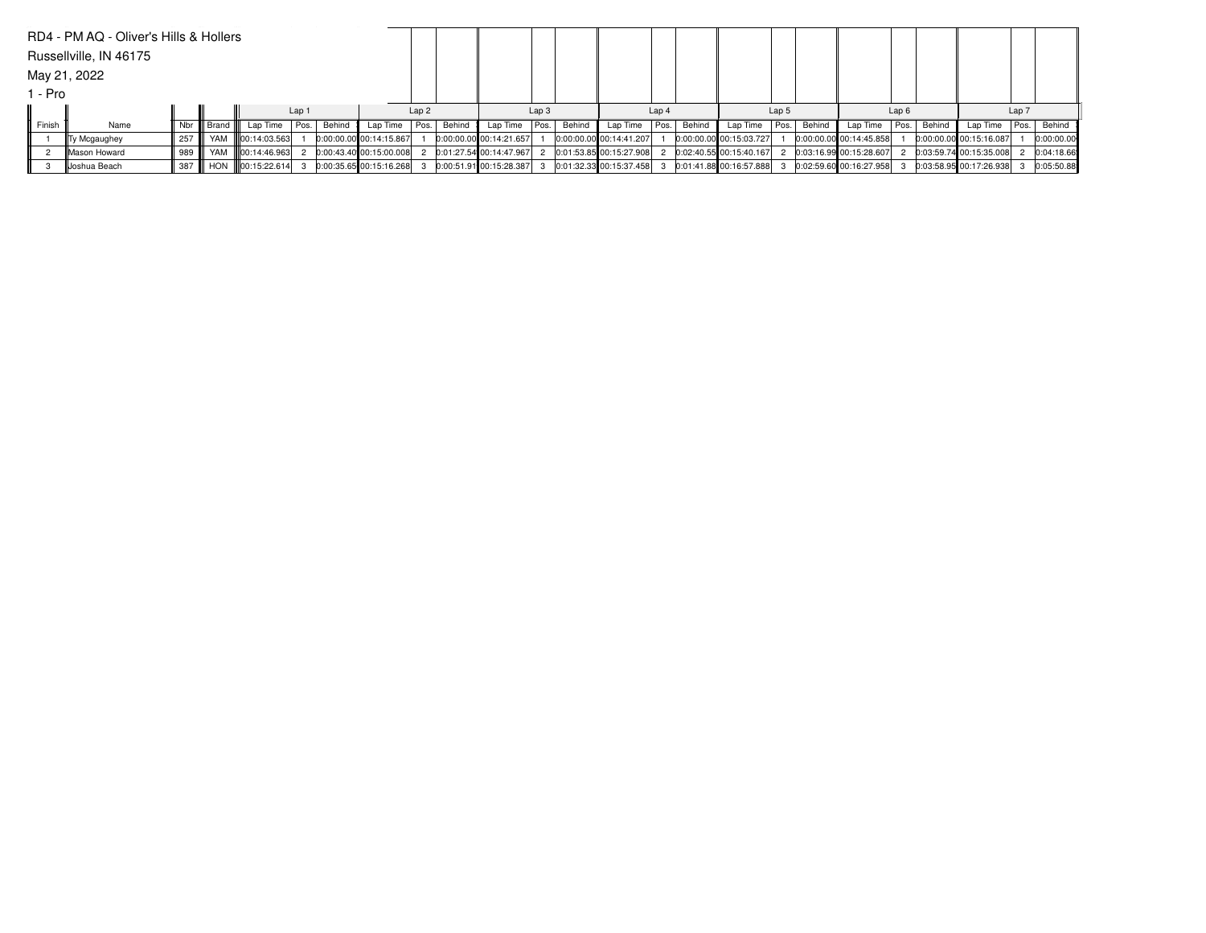|         | RD4 - PM AQ - Oliver's Hills & Hollers |               |                   |                 |                  |        |                           |               |        |                         |                  |        |                         |                  |        |                         |       |        |                         |      |        |                         |       |            |
|---------|----------------------------------------|---------------|-------------------|-----------------|------------------|--------|---------------------------|---------------|--------|-------------------------|------------------|--------|-------------------------|------------------|--------|-------------------------|-------|--------|-------------------------|------|--------|-------------------------|-------|------------|
|         | Russellville, IN 46175                 |               |                   |                 |                  |        |                           |               |        |                         |                  |        |                         |                  |        |                         |       |        |                         |      |        |                         |       |            |
|         | May 21, 2022                           |               |                   |                 |                  |        |                           |               |        |                         |                  |        |                         |                  |        |                         |       |        |                         |      |        |                         |       |            |
| l - Pro |                                        |               |                   |                 |                  |        |                           |               |        |                         |                  |        |                         |                  |        |                         |       |        |                         |      |        |                         |       |            |
|         |                                        |               |                   |                 | Lap <sub>1</sub> |        |                           | Lap2          |        |                         | Lap <sub>3</sub> |        |                         | Lap <sub>4</sub> |        |                         | Lap 5 |        |                         | Lap6 |        |                         | Lap 7 |            |
| Finish  | Name                                   |               | Nbr III Brand III | Lap Time        | l Pos. I         | Behind | Lap Time   Pos.           |               | Behind | Lap Time                | Pos.             | Behind | Lap Time   Pos.         |                  | Behind | Lap Time                | Pos.  | Behind | Lap Time                | Pos. | Behind | Lap Time                | Pos.  | Behind     |
|         | Ty Mcgaughey                           | 257           | YAM               | 100:14:03.563   |                  |        | $0:00:00.00$ 00:14:15.867 |               |        | 0:00:00.00 00:14:21.657 |                  |        | 0:00:00.00 00:14:41.207 |                  |        | 0:00:00.00 00:15:03.727 |       |        | 0:00:00.00 00:14:45.858 |      |        | 0:00:00.00 00:15:16.087 |       | 0:00:00.00 |
|         | <b>IMason Howard</b>                   | 989 <b>  </b> | YAM               | lloo:14:46.963L |                  |        | 0:00:43.40 00:15:00.008   | $\mathcal{L}$ |        | 0:01:27.54 00:14:47.967 |                  |        | 0:01:53.85 00:15:27.908 |                  |        | 0:02:40.55 00:15:40.167 |       |        | 0:03:16.99 00:15:28.607 |      |        | 0:03:59.74 00:15:35.008 |       | 0:04:18.66 |
|         | Joshua Beach                           | 387 III       | <b>HON</b>        | 100:15:22.614   |                  |        | 0:00:35.65 00:15:16.268   |               |        | 0:00:51.91 00:15:28.387 |                  |        | 0:01:32.33 00:15:37.458 |                  |        | 0:01:41.88 00:16:57.888 |       |        | 0:02:59.60 00:16:27.958 |      |        | 0:03:58.95 00:17:26.938 |       | 0:05:50.88 |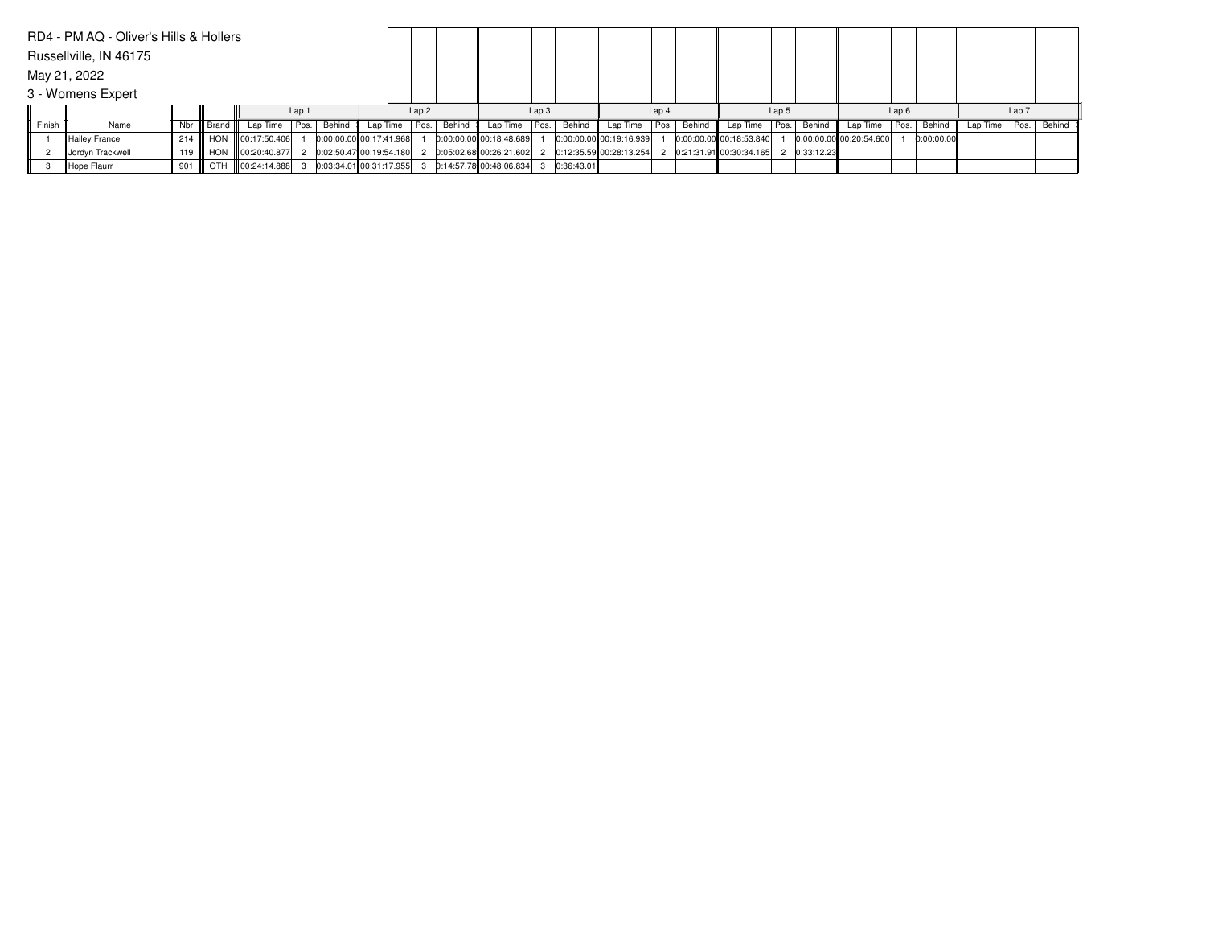|        | RD4 - PM AQ - Oliver's Hills & Hollers |             |              |                     |                  |        |                           |      |        |                         |                  |            |                           |       |             |                           |       |            |                           |      |            |          |                  |        |
|--------|----------------------------------------|-------------|--------------|---------------------|------------------|--------|---------------------------|------|--------|-------------------------|------------------|------------|---------------------------|-------|-------------|---------------------------|-------|------------|---------------------------|------|------------|----------|------------------|--------|
|        | Russellville, IN 46175                 |             |              |                     |                  |        |                           |      |        |                         |                  |            |                           |       |             |                           |       |            |                           |      |            |          |                  |        |
|        | May 21, 2022                           |             |              |                     |                  |        |                           |      |        |                         |                  |            |                           |       |             |                           |       |            |                           |      |            |          |                  |        |
|        | 3 - Womens Expert                      |             |              |                     |                  |        |                           |      |        |                         |                  |            |                           |       |             |                           |       |            |                           |      |            |          |                  |        |
|        |                                        |             |              |                     | Lap <sub>1</sub> |        |                           | Lap2 |        |                         | Lap <sub>3</sub> |            |                           | Lap 4 |             |                           | Lap 5 |            |                           | Lap6 |            |          | Lap <sub>7</sub> |        |
| Finish | Name                                   |             | Nbr    Brand | Lap Time            | Pos.             | Behind | Lap Time Pos.             |      | Behind | Lap Time   Pos.         |                  | Behind     | Lap Time                  |       | Pos. Behind | Lap Time                  | Pos.  | Behind     | Lap Time                  | Pos. | Behind     | Lap Time | Pos.             | Behind |
|        | Hailey France                          | 214         |              | HON III00:17:50.406 |                  |        | 0:00:00.00 00:17:41.968   |      |        | 0:00:00.00 00:18:48.689 |                  |            | $0:00:00.00$ 00:19:16.939 |       |             | 0:00:00.00 00:18:53.840   |       |            | $0:00:00.00$ 00:20:54.600 |      | 0:00:00.00 |          |                  |        |
|        | Jordyn Trackwell                       | 119         |              | HON 100:20:40.877   |                  |        | $0:02:50.47$ 00:19:54.180 |      |        | 0:05:02.68 00:26:21.602 |                  |            | 0:12:35.59 00:28:13.254   |       |             | 2 0:21:31.91 00:30:34.165 |       | 0:33:12.23 |                           |      |            |          |                  |        |
|        | Hope Flaurr                            | $\vert$ 901 | OTH          | 00:24:14.888        |                  |        | 0:03:34.0100:31:17.955    |      |        | 0:14:57.78 00:48:06.834 |                  | 0:36:43.01 |                           |       |             |                           |       |            |                           |      |            |          |                  |        |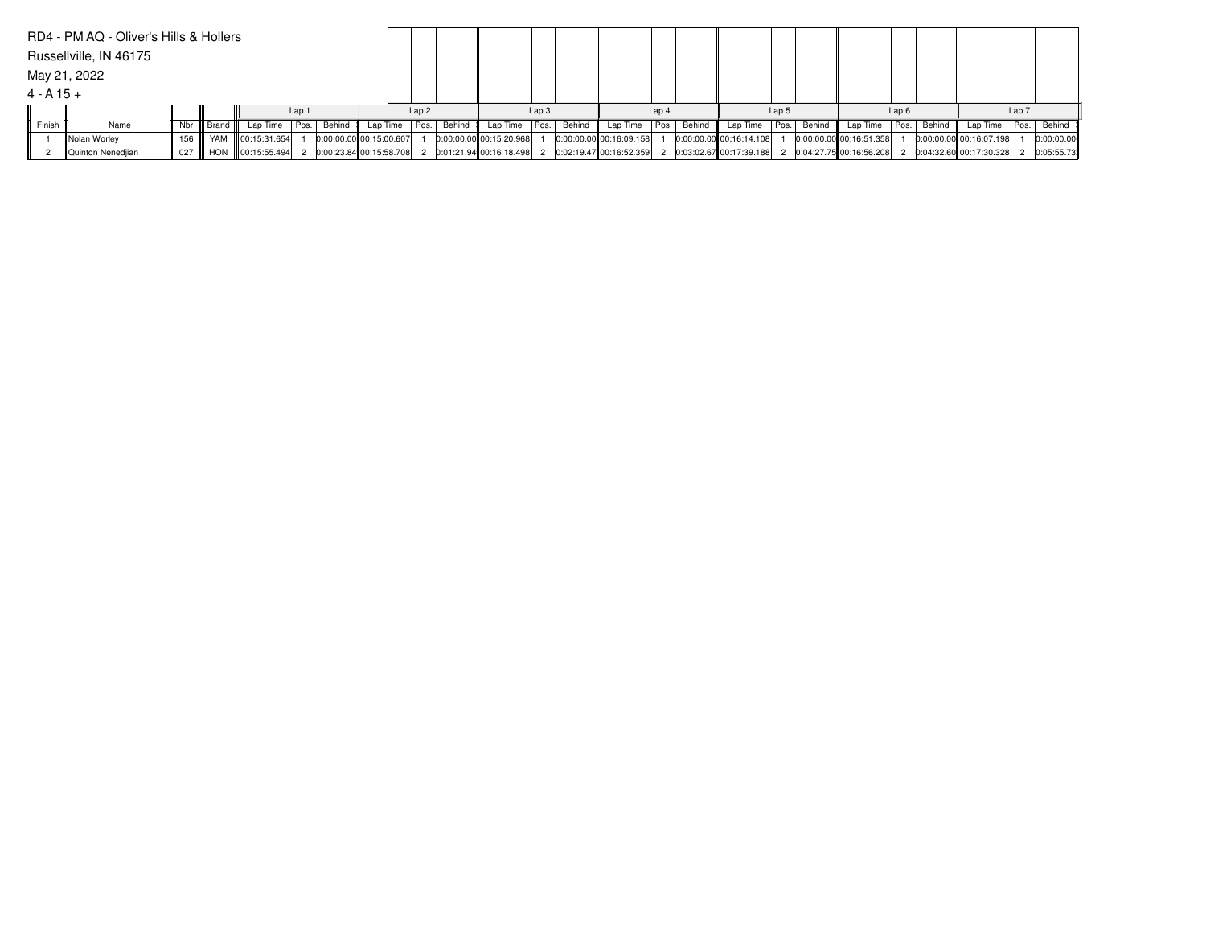|              | RD4 - PM AQ - Oliver's Hills & Hollers |         |                   |                   |                  |          |                           |      |        |                         |                  |        |                         |                  |        |                         |                  |             |                           |      |        |                         |       |             |
|--------------|----------------------------------------|---------|-------------------|-------------------|------------------|----------|---------------------------|------|--------|-------------------------|------------------|--------|-------------------------|------------------|--------|-------------------------|------------------|-------------|---------------------------|------|--------|-------------------------|-------|-------------|
|              | Russellville, IN 46175                 |         |                   |                   |                  |          |                           |      |        |                         |                  |        |                         |                  |        |                         |                  |             |                           |      |        |                         |       |             |
|              | May 21, 2022                           |         |                   |                   |                  |          |                           |      |        |                         |                  |        |                         |                  |        |                         |                  |             |                           |      |        |                         |       |             |
| $4 - A 15 +$ |                                        |         |                   |                   |                  |          |                           |      |        |                         |                  |        |                         |                  |        |                         |                  |             |                           |      |        |                         |       |             |
|              |                                        |         |                   |                   | Lap <sub>1</sub> |          |                           | Lap2 |        |                         | Lap <sub>3</sub> |        |                         | Lap <sub>4</sub> |        |                         | Lap <sub>5</sub> |             |                           | Lap6 |        |                         | Lap 7 |             |
| Finish       | Name                                   |         | Nbr III Brand III | Lap Time   Pos.   |                  | Behind I | Lap Time   Pos.           |      | Behind | Lap Time                | Pos.             | Behind | Lap Time   Pos.         |                  | Behind | Lap Time                |                  | Pos. Behind | Lap Time                  | Pos. | Behind | Lap Time                |       | Pos. Behind |
|              | Nolan Worley                           | 156 III | YAM               | 100:15:31.654     |                  |          | $0:00:00.00$ 00:15:00.607 |      |        | 0:00:00.00 00:15:20.968 |                  |        | 0:00:00.00 00:16:09.158 |                  |        | 0:00:00.00 00:16:14.108 |                  |             | 0:00:00.00 00:16:51.358   |      |        | 0:00:00.00 00:16:07.198 |       | 0:00:00.00  |
|              | Quinton Nenedjian                      | 027 III |                   | HON 100:15:55.494 |                  |          | 0:00:23.84 00:15:58.708   | 2    |        | 0:01:21.94 00:16:18.498 |                  |        | 0:02:19.47 00:16:52.359 |                  |        | 0:03:02.67 00:17:39.188 |                  |             | $0:04:27.75$ 00:16:56.208 |      |        | 0:04:32.60 00:17:30.328 |       | 0:05:55.73  |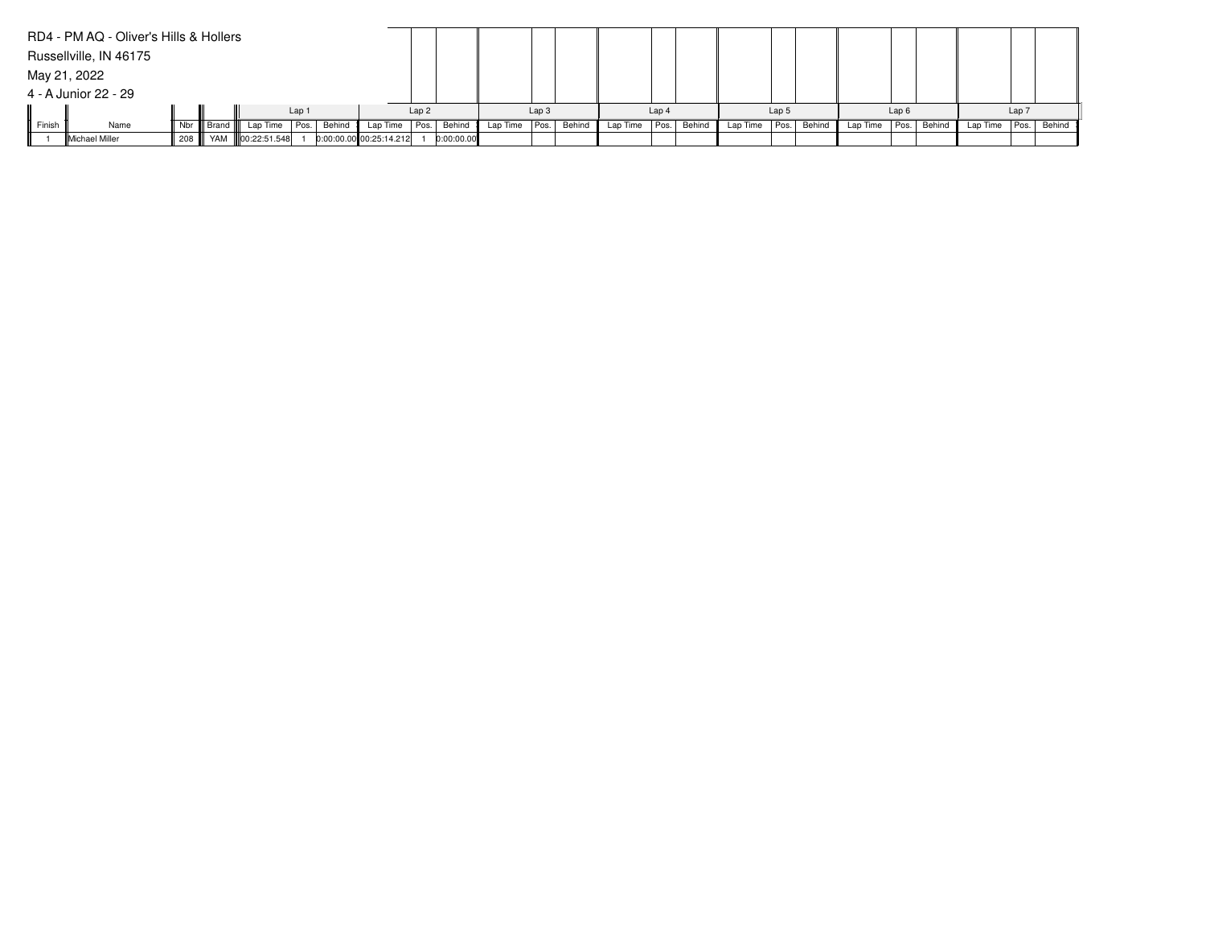|        | RD4 - PM AQ - Oliver's Hills & Hollers |              |                           |       |        |                           |      |            |                 |                  |        |          |                  |        |               |                  |        |                 |      |        |          |       |             |
|--------|----------------------------------------|--------------|---------------------------|-------|--------|---------------------------|------|------------|-----------------|------------------|--------|----------|------------------|--------|---------------|------------------|--------|-----------------|------|--------|----------|-------|-------------|
|        | Russellville, IN 46175                 |              |                           |       |        |                           |      |            |                 |                  |        |          |                  |        |               |                  |        |                 |      |        |          |       |             |
|        | May 21, 2022                           |              |                           |       |        |                           |      |            |                 |                  |        |          |                  |        |               |                  |        |                 |      |        |          |       |             |
|        | 4 - A Junior 22 - 29                   |              |                           |       |        |                           |      |            |                 |                  |        |          |                  |        |               |                  |        |                 |      |        |          |       |             |
|        |                                        |              |                           | Lap 1 |        |                           | Lap2 |            |                 | Lap <sub>3</sub> |        |          | Lap <sub>4</sub> |        |               | Lap <sub>5</sub> |        |                 | Lap6 |        |          | Lap 7 |             |
| Finish | Name                                   | Nbr    Brand | Lap Time                  | Pos.  | Behind | Lap Time                  | Pos. | Behind     | Lap Time   Pos. |                  | Behind | Lap Time | Pos.             | Behind | Lap Time Pos. |                  | Behind | Lap Time   Pos. |      | Behind | Lap Time |       | Pos. Behind |
|        | Michael Miller                         |              | 208    YAM   00:22:51.548 |       |        | $0:00:00.00$ 00:25:14.212 |      | 0:00:00.00 |                 |                  |        |          |                  |        |               |                  |        |                 |      |        |          |       |             |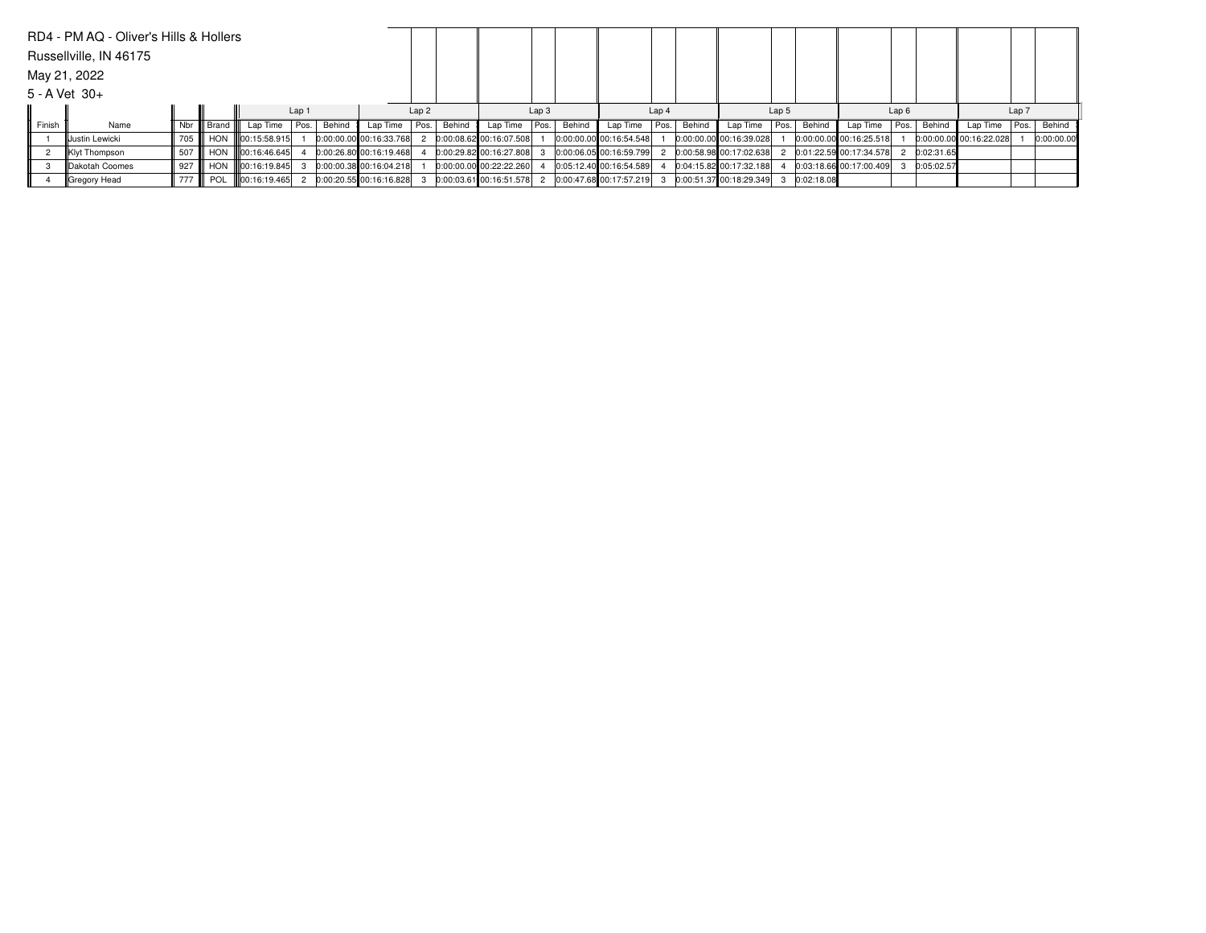|        | RD4 - PM AQ - Oliver's Hills & Hollers |          |               |                 |  |        |                         |      |        |                         |                  |        |                         |                  |        |                         |       |            |                         |      |            |                         |       |            |
|--------|----------------------------------------|----------|---------------|-----------------|--|--------|-------------------------|------|--------|-------------------------|------------------|--------|-------------------------|------------------|--------|-------------------------|-------|------------|-------------------------|------|------------|-------------------------|-------|------------|
|        | Russellville, IN 46175                 |          |               |                 |  |        |                         |      |        |                         |                  |        |                         |                  |        |                         |       |            |                         |      |            |                         |       |            |
|        | May 21, 2022                           |          |               |                 |  |        |                         |      |        |                         |                  |        |                         |                  |        |                         |       |            |                         |      |            |                         |       |            |
|        | $5 - A$ Vet $30+$                      |          |               |                 |  |        |                         |      |        |                         |                  |        |                         |                  |        |                         |       |            |                         |      |            |                         |       |            |
|        | Lap 1                                  |          |               |                 |  |        |                         | Lap2 |        |                         | Lap <sub>3</sub> |        |                         | Lap <sub>4</sub> |        |                         | Lap 5 |            |                         | Lap6 |            |                         | Lap 7 |            |
| Finish | Name                                   |          | Nbr III Brand | Lap Time Pos.   |  | Behind | Lap Time   Pos.         |      | Behind | Lap Time                | Pos.             | Behind | Lap Time                | Pos.             | Behind | Lap Time                | Pos.  | Behind     | Lap Time                | Pos. | Behind     | Lap Time                | Pos.  | Behind     |
|        | Uustin Lewicki                         | 705 III  | HON           | 100:15:58.915   |  |        | 0:00:00.00 00:16:33.768 |      |        | 0:00:08.62 00:16:07.508 |                  |        | 0:00:00.00 00:16:54.548 |                  |        | 0:00:00.00 00:16:39.028 |       |            | 0:00:00.00 00:16:25.518 |      |            | 0:00:00.00 00:16:22.028 |       | 0:00:00.00 |
|        | Klyt Thompson                          | 507 I    | <b>HON</b>    | 00:16:46.645    |  |        | 0:00:26.80 00:16:19.468 |      |        | 0:00:29.82 00:16:27.808 |                  |        | 0:00:06.05 00:16:59.799 |                  |        | 0:00:58.98 00:17:02.638 |       |            | 0:01:22.59 00:17:34.578 |      | 0:02:31.65 |                         |       |            |
|        | Dakotah Coomes                         | l 927 ll | <b>HON</b>    | lloo:16:19.845l |  |        | 0:00:00.38 00:16:04.218 |      |        | 0:00:00.00 00:22:22.260 |                  |        | 0:05:12.40 00:16:54.589 |                  |        | 0:04:15.82 00:17:32.188 |       |            | 0:03:18.66 00:17:00.409 |      | 0:05:02.57 |                         |       |            |
|        | Gregory Head                           | 777 III  | POL           | 100:16:19.465   |  |        | 0:00:20.55 00:16:16.828 |      |        | 0:00:03.61 00:16:51.578 |                  |        | 0:00:47.68 00:17:57.219 |                  |        | 0:00:51.37 00:18:29.349 |       | 0:02:18.08 |                         |      |            |                         |       |            |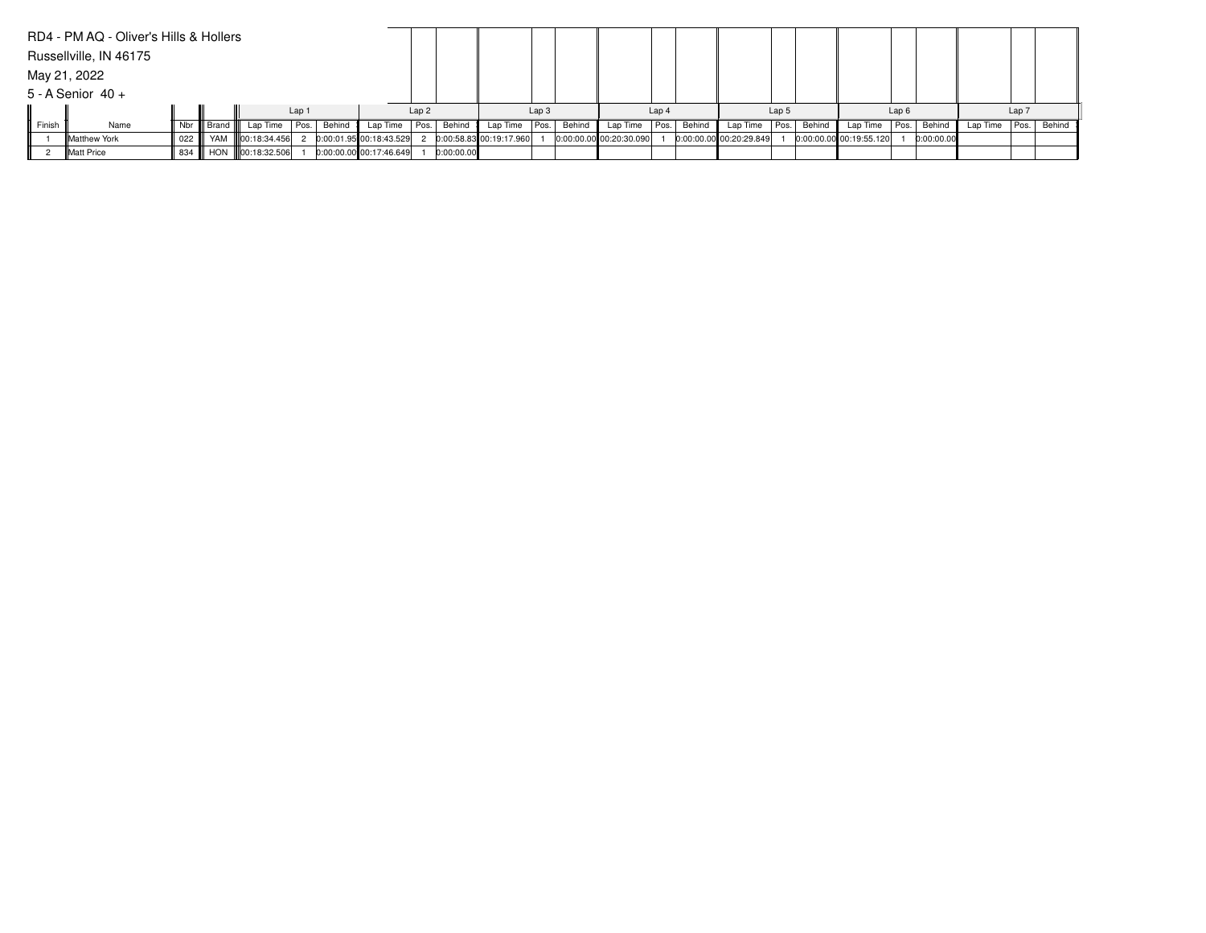|        | RD4 - PM AQ - Oliver's Hills & Hollers |     |                   |                   |                  |        |                         |      |            |                         |                  |        |                           |                  |             |                         |       |        |                         |      |            |          |                  |             |
|--------|----------------------------------------|-----|-------------------|-------------------|------------------|--------|-------------------------|------|------------|-------------------------|------------------|--------|---------------------------|------------------|-------------|-------------------------|-------|--------|-------------------------|------|------------|----------|------------------|-------------|
|        | Russellville, IN 46175                 |     |                   |                   |                  |        |                         |      |            |                         |                  |        |                           |                  |             |                         |       |        |                         |      |            |          |                  |             |
|        | May 21, 2022                           |     |                   |                   |                  |        |                         |      |            |                         |                  |        |                           |                  |             |                         |       |        |                         |      |            |          |                  |             |
|        | $5 - A$ Senior $40 +$                  |     |                   |                   |                  |        |                         |      |            |                         |                  |        |                           |                  |             |                         |       |        |                         |      |            |          |                  |             |
|        |                                        |     |                   |                   | Lap <sub>1</sub> |        |                         | Lap2 |            |                         | Lap <sub>3</sub> |        |                           | Lap <sub>4</sub> |             |                         | Lap 5 |        |                         | Lap6 |            |          | Lap <sub>7</sub> |             |
| Finish | Name                                   |     | Nbr III Brand III | Lap Time   Pos.   |                  | Behind | Lap Time   Pos.         |      | Behind     | Lap Time Pos.           |                  | Behind | Lap Time                  |                  | Pos. Behind | Lap Time Pos.           |       | Behind | Lap Time   Pos.         |      | Behind     | Lap Time |                  | Pos. Behind |
|        | <b>Matthew York</b>                    | 022 |                   | YAM 100:18:34.456 |                  |        | 0:00:01.95 00:18:43.529 |      |            | 0:00:58.83 00:19:17.960 |                  |        | $0:00:00.00$ 00:20:30.090 |                  |             | 0:00:00.00 00:20:29.849 |       |        | 0:00:00.00 00:19:55.120 |      | 0:00:00.00 |          |                  |             |
|        | Matt Price                             | 834 |                   | HON 100:18:32.506 |                  |        | 0:00:00.00 00:17:46.649 |      | 0:00:00.00 |                         |                  |        |                           |                  |             |                         |       |        |                         |      |            |          |                  |             |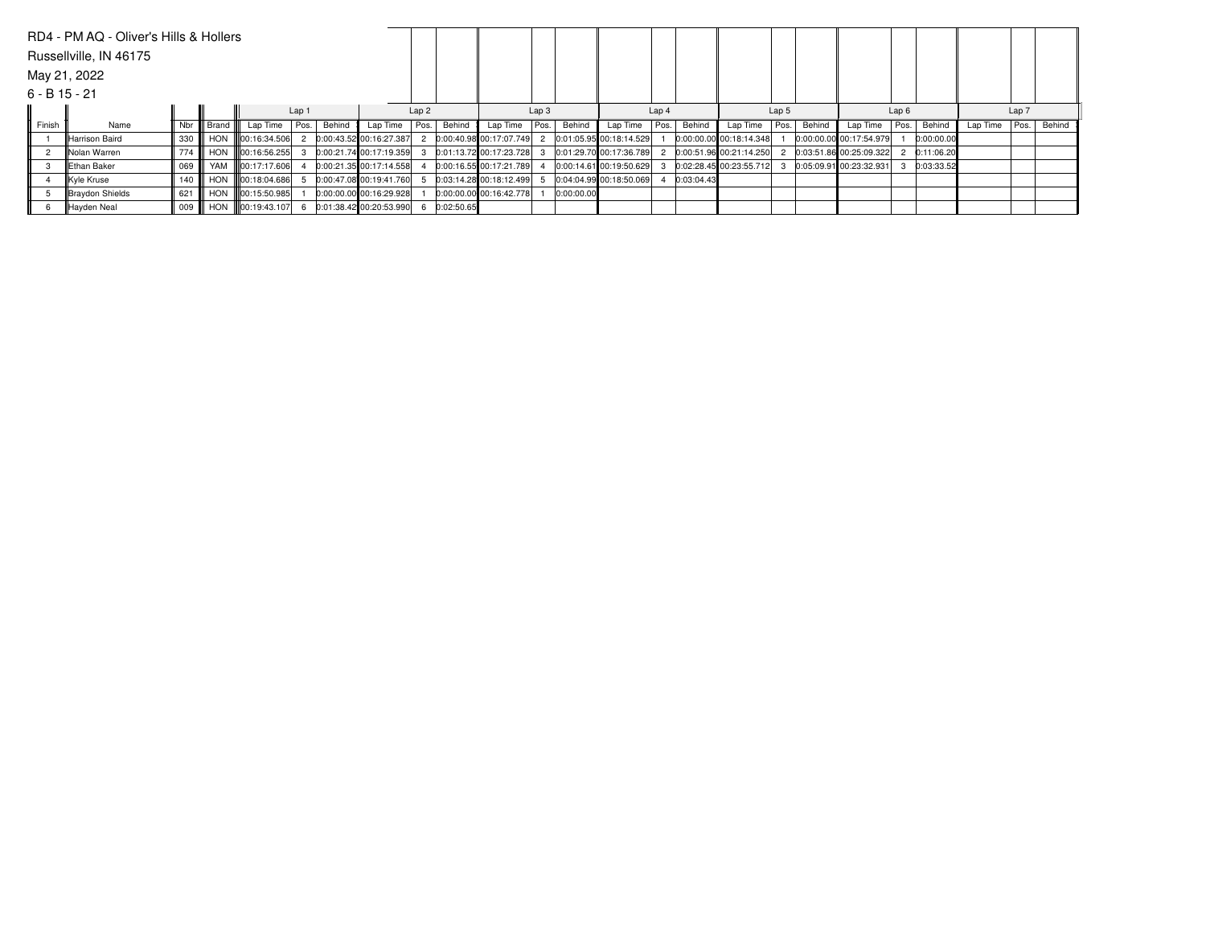|                 | RD4 - PM AQ - Oliver's Hills & Hollers |                                                                               |  |                             |  |  |                         |      |            |                         |                                                |            |                           |       |            |                         |       |        |                           |      |            |          |                  |        |
|-----------------|----------------------------------------|-------------------------------------------------------------------------------|--|-----------------------------|--|--|-------------------------|------|------------|-------------------------|------------------------------------------------|------------|---------------------------|-------|------------|-------------------------|-------|--------|---------------------------|------|------------|----------|------------------|--------|
|                 | Russellville, IN 46175                 |                                                                               |  |                             |  |  |                         |      |            |                         |                                                |            |                           |       |            |                         |       |        |                           |      |            |          |                  |        |
|                 | May 21, 2022                           |                                                                               |  |                             |  |  |                         |      |            |                         |                                                |            |                           |       |            |                         |       |        |                           |      |            |          |                  |        |
| $6 - B$ 15 - 21 |                                        |                                                                               |  |                             |  |  |                         |      |            |                         |                                                |            |                           |       |            |                         |       |        |                           |      |            |          |                  |        |
|                 |                                        | Lap <sub>1</sub><br>Il Brand I<br>Behind<br>Nbr I<br>Pos.<br>Name<br>Lap Time |  |                             |  |  |                         | Lap2 |            |                         | Lap <sub>3</sub>                               |            |                           | Lap 4 |            |                         | Lap 5 |        |                           | Lap6 |            |          | Lap <sub>7</sub> |        |
| Finish          |                                        |                                                                               |  |                             |  |  | Lap Time   Pos.         |      | Behind     | Lap Time                | $\sqrt{\frac{1}{1}}$ Pos. $\sqrt{\frac{1}{1}}$ | Behind     | Lap Time                  | Pos.  | Behind     | Lap Time                | Pos.  | Behind | Lap Time   Pos.           |      | Behind     | Lap Time | Pos.             | Behind |
|                 | Harrison Baird                         | 330                                                                           |  | HON 100:16:34.506           |  |  | 0:00:43.52 00:16:27.387 |      |            | 0:00:40.98 00:17:07.749 |                                                |            | 0:01:05.95 00:18:14.529   |       |            | 0:00:00.00 00:18:14.348 |       |        | 0:00:00.00 00:17:54.979   |      | 0:00:00.00 |          |                  |        |
|                 | Nolan Warren                           | 774                                                                           |  | HON 100:16:56.255           |  |  | 0:00:21.74 00:17:19.359 |      |            | 0:01:13.72 00:17:23.728 |                                                |            | 0:01:29.70 00:17:36.789   |       |            | 0:00:51.96 00:21:14.250 |       |        | 0:03:51.86 00:25:09.322   |      | 0:11:06.20 |          |                  |        |
|                 | Ethan Baker                            | 069                                                                           |  | YAM III00:17:17.606         |  |  | 0:00:21.35 00:17:14.558 |      |            | 0:00:16.55 00:17:21.789 |                                                |            | $0:00:14.61$ 00:19:50.629 |       |            | 0:02:28.45 00:23:55.712 |       |        | $0:05:09.91$ 00:23:32.931 |      | 0:03:33.52 |          |                  |        |
|                 | Kyle Kruse                             | 140                                                                           |  | HON 100:18:04.686           |  |  | 0:00:47.08 00:19:41.760 |      |            | 0:03:14.28 00:18:12.499 |                                                |            | 0:04:04.99 00:18:50.069   |       | 0:03:04.43 |                         |       |        |                           |      |            |          |                  |        |
|                 | Braydon Shields                        | 621                                                                           |  | HON III00:15:50.985         |  |  | 0:00:00.00 00:16:29.928 |      |            | 0:00:00.00 00:16:42.778 |                                                | 0:00:00.00 |                           |       |            |                         |       |        |                           |      |            |          |                  |        |
|                 | <sup>I</sup> Hayden Neal               | 009                                                                           |  | HON <b>III</b> 00:19:43.107 |  |  | 0:01:38.42 00:20:53.990 |      | 0:02:50.65 |                         |                                                |            |                           |       |            |                         |       |        |                           |      |            |          |                  |        |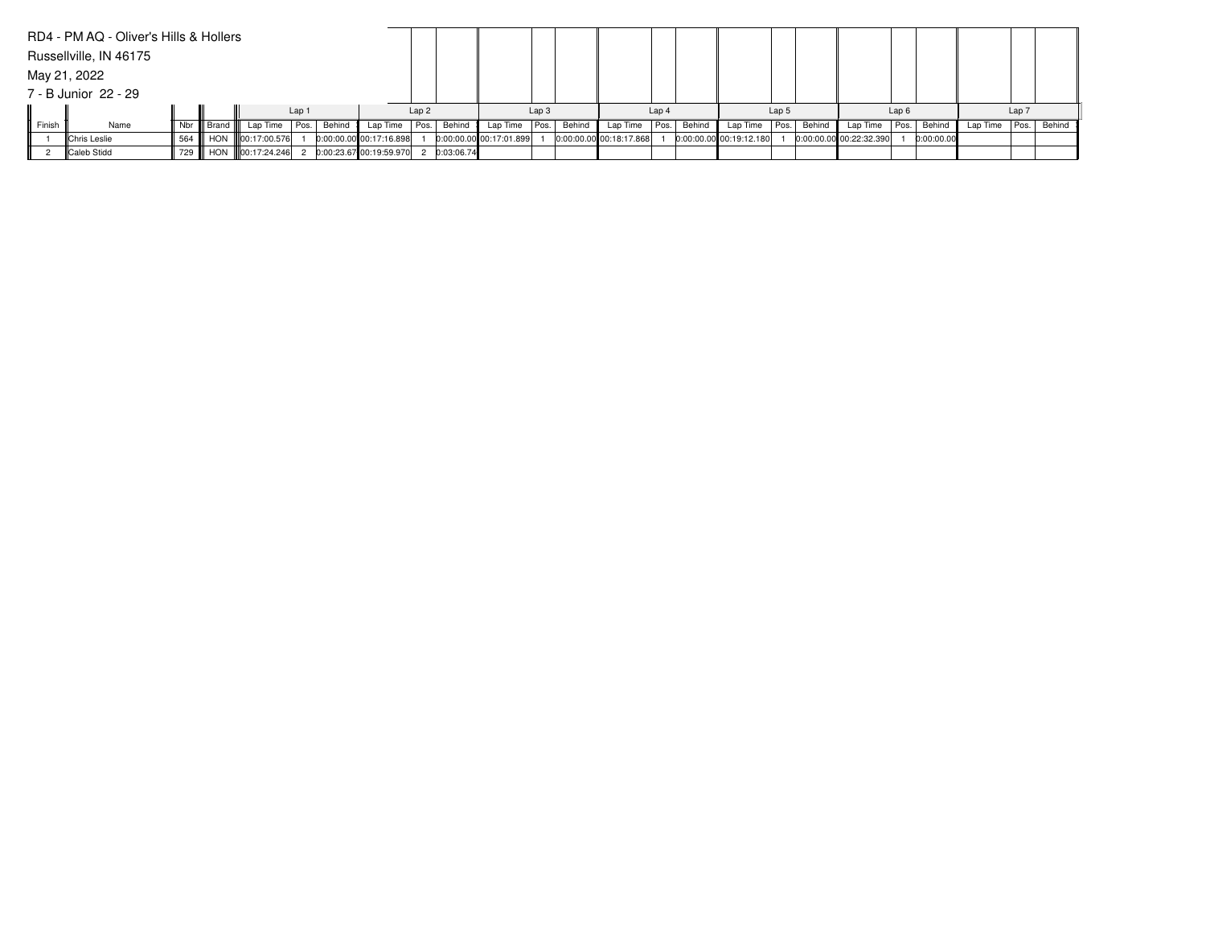|        | RD4 - PM AQ - Oliver's Hills & Hollers |         |               |                     |                  |        |                         |      |            |                         |                  |        |                         |                  |             |                         |                  |        |                           |      |            |          |                  |             |
|--------|----------------------------------------|---------|---------------|---------------------|------------------|--------|-------------------------|------|------------|-------------------------|------------------|--------|-------------------------|------------------|-------------|-------------------------|------------------|--------|---------------------------|------|------------|----------|------------------|-------------|
|        | Russellville, IN 46175                 |         |               |                     |                  |        |                         |      |            |                         |                  |        |                         |                  |             |                         |                  |        |                           |      |            |          |                  |             |
|        | May 21, 2022                           |         |               |                     |                  |        |                         |      |            |                         |                  |        |                         |                  |             |                         |                  |        |                           |      |            |          |                  |             |
|        | 7 - B Junior 22 - 29                   |         |               |                     |                  |        |                         |      |            |                         |                  |        |                         |                  |             |                         |                  |        |                           |      |            |          |                  |             |
|        |                                        |         |               |                     | Lap <sub>1</sub> |        |                         | Lap2 |            |                         | Lap <sub>3</sub> |        |                         | Lap <sub>4</sub> |             |                         | Lap <sub>5</sub> |        |                           | Lap6 |            |          | Lap <sub>7</sub> |             |
| Finish | Name                                   | Nbr II  | III Brand III | Lap Time   Pos.     |                  | Behind | Lap Time Pos.           |      | Behind     | Lap Time   Pos.         |                  | Behind | Lap Time                |                  | Pos. Behind | Lap Time Pos.           |                  | Behind | Lap Time   Pos.           |      | Behind     | Lap Time |                  | Pos. Behind |
|        | <b>Chris Leslie</b>                    | 564 II  |               | HON III00:17:00.576 |                  |        | 0:00:00.00 00:17:16.898 |      |            | 0:00:00.00 00:17:01.899 |                  |        | 0:00:00.00 00:18:17.868 |                  |             | 0:00:00.00 00:19:12.180 |                  |        | $0:00:00.00$ 00:22:32.390 |      | 0:00:00.00 |          |                  |             |
|        | Caleb Stidd                            | 729 III |               | HON 100:17:24.246   |                  |        | 0:00:23.67 00:19:59.970 |      | 0:03:06.74 |                         |                  |        |                         |                  |             |                         |                  |        |                           |      |            |          |                  |             |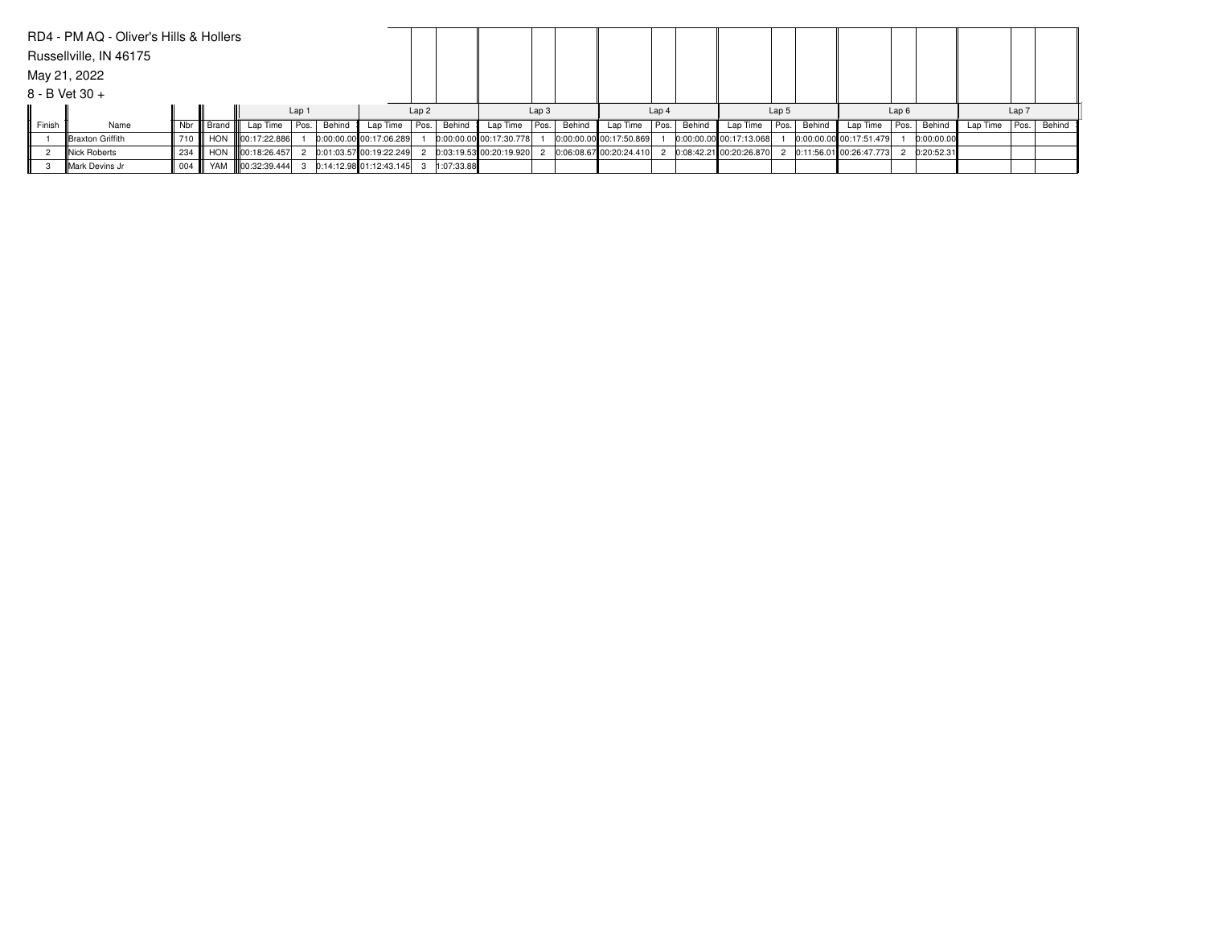|        | RD4 - PM AQ - Oliver's Hills & Hollers |                             |                |                   |       |        |                         |      |            |                         |                  |        |                         |                  |        |                         |                  |        |                           |      |            |          |       |        |
|--------|----------------------------------------|-----------------------------|----------------|-------------------|-------|--------|-------------------------|------|------------|-------------------------|------------------|--------|-------------------------|------------------|--------|-------------------------|------------------|--------|---------------------------|------|------------|----------|-------|--------|
|        | Russellville, IN 46175                 |                             |                |                   |       |        |                         |      |            |                         |                  |        |                         |                  |        |                         |                  |        |                           |      |            |          |       |        |
|        | May 21, 2022                           |                             |                |                   |       |        |                         |      |            |                         |                  |        |                         |                  |        |                         |                  |        |                           |      |            |          |       |        |
|        | $8 - B$ Vet 30 +                       |                             |                |                   |       |        |                         |      |            |                         |                  |        |                         |                  |        |                         |                  |        |                           |      |            |          |       |        |
|        |                                        |                             |                |                   | Lap 1 |        |                         | Lap2 |            |                         | Lap <sub>3</sub> |        |                         | Lap <sub>4</sub> |        |                         | Lap <sub>5</sub> |        |                           | Lap6 |            |          | Lap 7 |        |
| Finish | Name                                   | Nbr I                       | III Brand IIII | Lap Time   Pos.   |       | Behind | Lap Time   Pos.         |      | Behind     | Lap Time Pos.           |                  | Behind | Lap Time                | Pos.             | Behind | Lap Time                | Pos.             | Behind | Lap Time Pos.             |      | Behind     | Lap Time | Pos.  | Behind |
|        | <b>Braxton Griffith</b>                | 710                         |                | HON 100:17:22.886 |       |        | 0:00:00.00 00:17:06.289 |      |            | 0:00:00.00 00:17:30.778 |                  |        | 0:00:00.00 00:17:50.869 |                  |        | 0:00:00.00 00:17:13.068 |                  |        | 0:00:00.00 00:17:51.479   |      | 0:00:00.00 |          |       |        |
|        | Nick Roberts                           | 234                         |                | HON 100:18:26.457 |       |        | 0:01:03.57 00:19:22.249 |      |            | 0:03:19.53 00:20:19.920 |                  |        | 0:06:08.67 00:20:24.410 |                  |        | 0:08:42.21 00:20:26.870 |                  |        | 0:11:56.01 00:26:47.773 2 |      | 0:20:52.31 |          |       |        |
|        | Mark Devins Jr                         | $\parallel$ 004 $\parallel$ |                | YAM 100:32:39.444 |       |        | 0:14:12.98 01:12:43.145 |      | 1:07:33.88 |                         |                  |        |                         |                  |        |                         |                  |        |                           |      |            |          |       |        |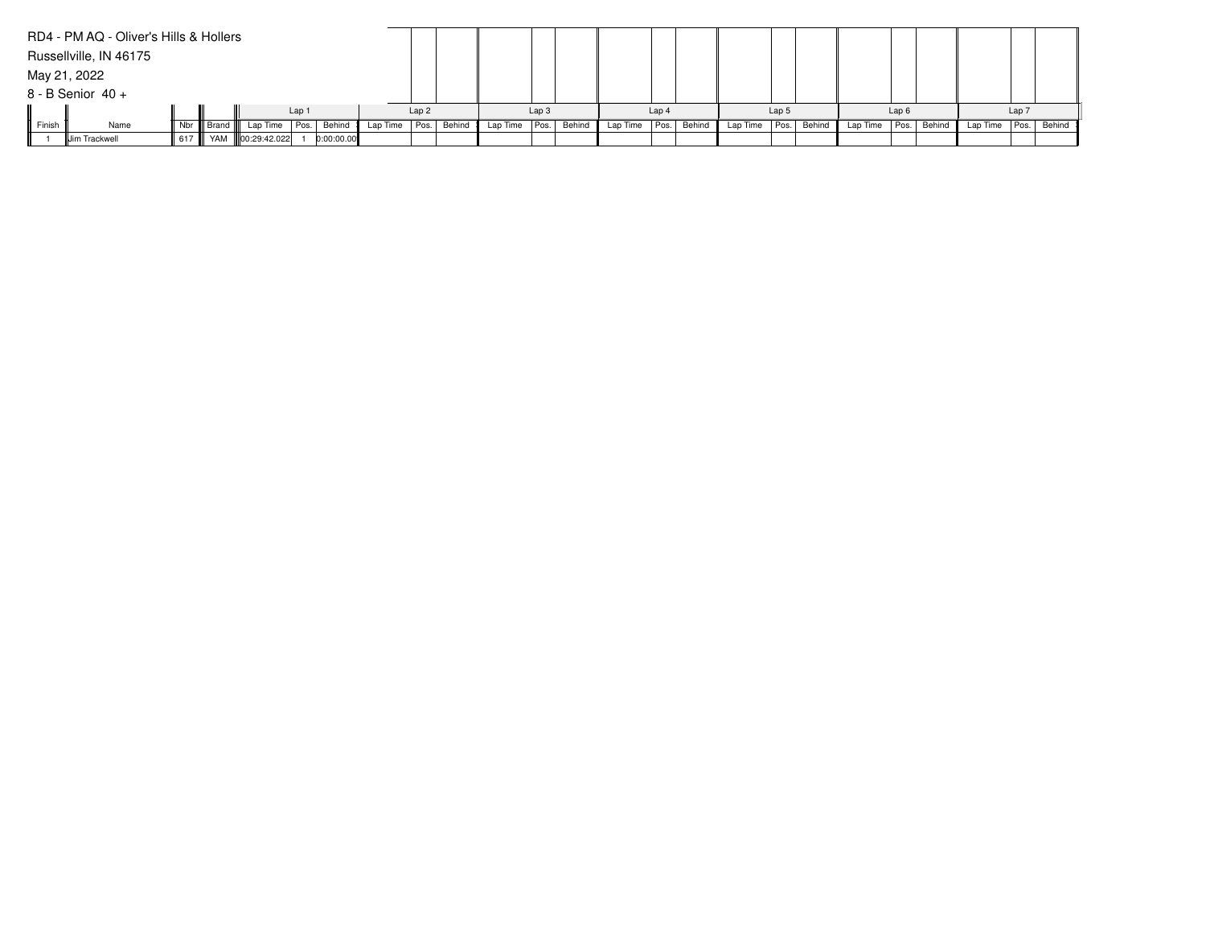|        | RD4 - PM AQ - Oliver's Hills & Hollers |        |                |                   |       |            |                 |      |        |                   |                  |        |          |       |             |          |                  |        |                 |      |        |          |       |             |
|--------|----------------------------------------|--------|----------------|-------------------|-------|------------|-----------------|------|--------|-------------------|------------------|--------|----------|-------|-------------|----------|------------------|--------|-----------------|------|--------|----------|-------|-------------|
|        | Russellville, IN 46175                 |        |                |                   |       |            |                 |      |        |                   |                  |        |          |       |             |          |                  |        |                 |      |        |          |       |             |
|        | May 21, 2022                           |        |                |                   |       |            |                 |      |        |                   |                  |        |          |       |             |          |                  |        |                 |      |        |          |       |             |
|        | 8 - B Senior 40 +                      |        |                |                   |       |            |                 |      |        |                   |                  |        |          |       |             |          |                  |        |                 |      |        |          |       |             |
|        |                                        |        |                |                   | Lap 1 |            |                 | Lap2 |        |                   | Lap <sub>3</sub> |        |          | Lap 4 |             |          | Lap <sub>5</sub> |        |                 | Lap6 |        |          | Lap 7 |             |
| Finish | Name                                   | Nbr II | III Brand IIII | Lap Time          | Pos.  | Behind     | Lap Time   Pos. |      | Behind | Lap Time $ Pos. $ |                  | Behind | Lap Time |       | Pos. Behind | Lap Time | Pos.             | Behind | Lap Time   Pos. |      | Behind | Lap Time |       | Pos. Behind |
|        | <b>Jim Trackwell</b>                   | 617    |                | YAM 100:29:42.022 |       | 0:00:00.00 |                 |      |        |                   |                  |        |          |       |             |          |                  |        |                 |      |        |          |       |             |